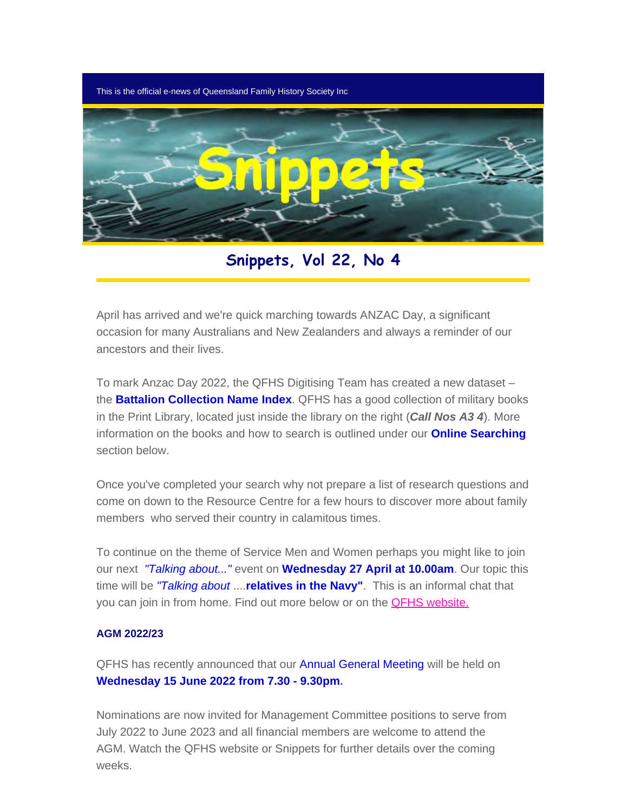This is the official e-news of Queensland Family History Society Inc



**Snippets, Vol 22, No 4**

April has arrived and we're quick marching towards ANZAC Day, a significant occasion for many Australians and New Zealanders and always a reminder of our ancestors and their lives.

To mark Anzac Day 2022, the QFHS Digitising Team has created a new dataset – the **Battalion Collection Name Index**. QFHS has a good collection of military books in the Print Library, located just inside the library on the right (*Call Nos A3 4*). More information on the books and how to search is outlined under our **Online Searching** section below.

Once you've completed your search why not prepare a list of research questions and come on down to the Resource Centre for a few hours to discover more about family members who served their country in calamitous times.

To continue on the theme of Service Men and Women perhaps you might like to join our next *"Talking about..."* event on **Wednesday 27 April at 10.00am**. Our topic this time will be *"Talking about* ....**relatives in the Navy"**. This is an informal chat that you can join in from home. Find out more below or on the **QFHS website.** 

#### **AGM 2022/23**

QFHS has recently announced that our Annual General Meeting will be held on **Wednesday 15 June 2022 from 7.30 - 9.30pm.**

Nominations are now invited for Management Committee positions to serve from July 2022 to June 2023 and all financial members are welcome to attend the AGM. Watch the QFHS website or Snippets for further details over the coming weeks.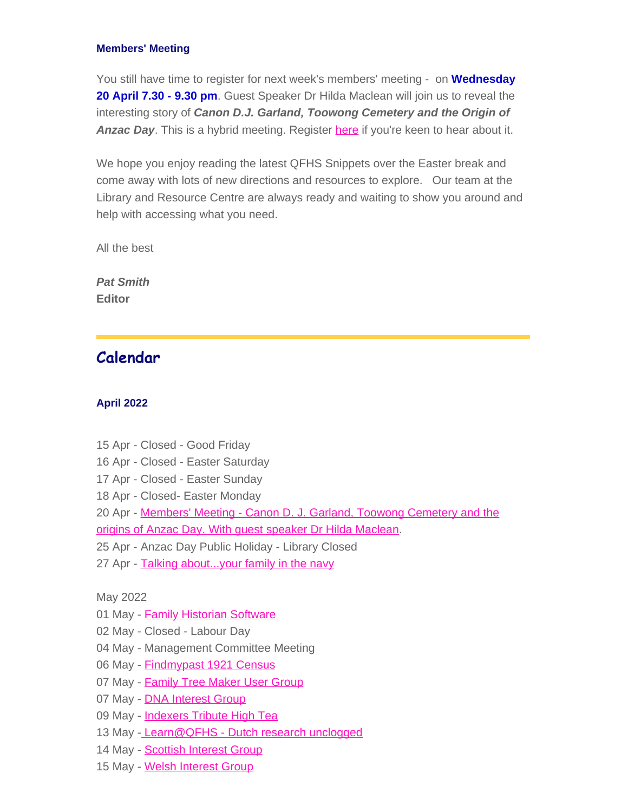#### **Members' Meeting**

You still have time to register for next week's members' meeting - on **Wednesday 20 April 7.30 - 9.30 pm**. Guest Speaker Dr Hilda Maclean will join us to reveal the interesting story of *Canon D.J. Garland, Toowong Cemetery and the Origin of* **Anzac Day**. This is a hybrid meeting. Register [here](https://www.eventbrite.com.au/e/members-meeting-march-eve-terry-tickets-247782041757) if you're keen to hear about it.

We hope you enjoy reading the latest QFHS Snippets over the Easter break and come away with lots of new directions and resources to explore. Our team at the Library and Resource Centre are always ready and waiting to show you around and help with accessing what you need.

All the best

*Pat Smith* **Editor**

## **Calendar**

#### **April 2022**

- 15 Apr Closed Good Friday
- 16 Apr Closed Easter Saturday
- 17 Apr Closed Easter Sunday
- 18 Apr Closed- Easter Monday
- 20 Apr [Members' Meeting Canon D. J. Garland, Toowong Cemetery and the](https://www.qfhs.org.au/CalendarEvent.aspx?dt=20220420_193000_54) [origins of Anzac Day. With guest speaker Dr Hilda Maclean](https://www.qfhs.org.au/CalendarEvent.aspx?dt=20220420_193000_54).
- 25 Apr Anzac Day Public Holiday Library Closed
- 27 Apr Talking about... your family in the navy

May 2022

- 01 May [Family Historian Software](https://www.qfhs.org.au/CalendarEvent.aspx?dt=20220501_130000_165)
- 02 May Closed Labour Day
- 04 May Management Committee Meeting
- 06 May [Findmypast 1921 Census](https://www.qfhs.org.au/CalendarEvent.aspx?dt=20220506_100000_173)
- 07 May [Family Tree Maker User Group](https://www.qfhs.org.au/CalendarEvent.aspx?dt=20220507_100000_58)
- 07 May **[DNA Interest Group](https://www.qfhs.org.au/CalendarEvent.aspx?dt=20220507_133000_59)**
- 09 May [Indexers Tribute High Tea](https://www.eventbrite.com.au/e/qfhs-indexers-tribute-high-tea-tickets-3139909)
- 13 May - [Learn@QFHS Dutch research unclogged](https://www.qfhs.org.au/CalendarEvent.aspx?dt=20220513_100000_60)
- 14 May [Scottish Interest Group](https://www.qfhs.org.au/CalendarEvent.aspx?dt=20220514_100000_61)
- 15 May [Welsh Interest Group](https://www.qfhs.org.au/CalendarEvent.aspx?dt=20220515_100000_62)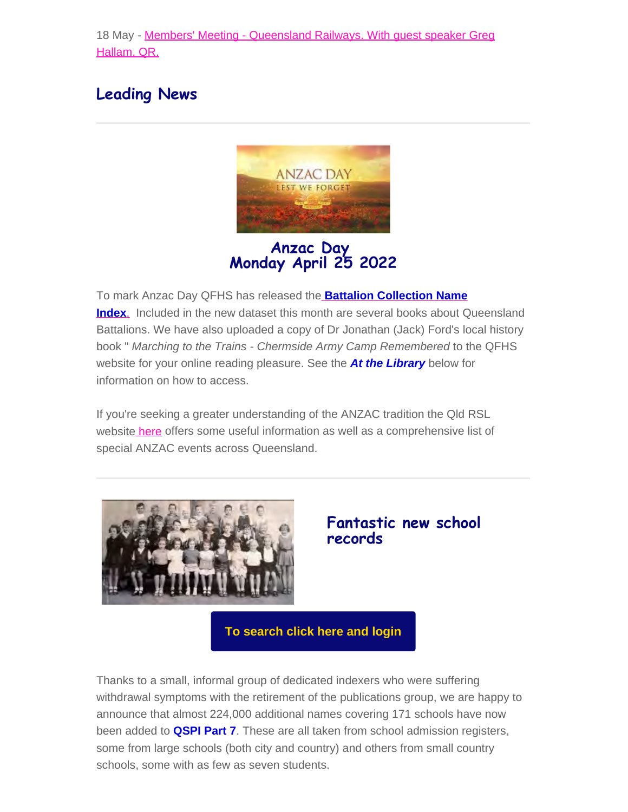18 May - [Members' Meeting - Queensland Railways. With guest speaker Greg](https://www.qfhs.org.au/CalendarEvent.aspx?dt=20220518_130000_63) [Hallam, QR.](https://www.qfhs.org.au/CalendarEvent.aspx?dt=20220518_130000_63)

## **Leading News**



**Anzac Day Monday April 25 2022**

To mark Anzac Day QFHS has released th[e](https://www.qfhs.org.au/online-access/battalionindexes/) **[Battalion Collection Name](https://www.qfhs.org.au/online-access/battalionindexes/) [Index](https://www.qfhs.org.au/online-access/battalionindexes/)**[.](https://www.qfhs.org.au/online-access/battalionindexes/) Included in the new dataset this month are several books about Queensland Battalions. We have also uploaded a copy of Dr Jonathan (Jack) Ford's local history book " *Marching to the Trains - Chermside Army Camp Remembered* to the QFHS website for your online reading pleasure. See the *At the Library* below for information on how to access.

If you're seeking a greater understanding of the ANZAC tradition the Qld RSL websit[e here](https://www.rslqld.org/whats-on/2022-anzac-day-services) offers some useful information as well as a comprehensive list of special ANZAC events across Queensland.



## **Fantastic new school records**

**[To search click here and login](https://www.qfhs.org.au/online-access/searchable-datasets/)**

Thanks to a small, informal group of dedicated indexers who were suffering withdrawal symptoms with the retirement of the publications group, we are happy to announce that almost 224,000 additional names covering 171 schools have now been added to **QSPI Part 7**. These are all taken from school admission registers, some from large schools (both city and country) and others from small country schools, some with as few as seven students.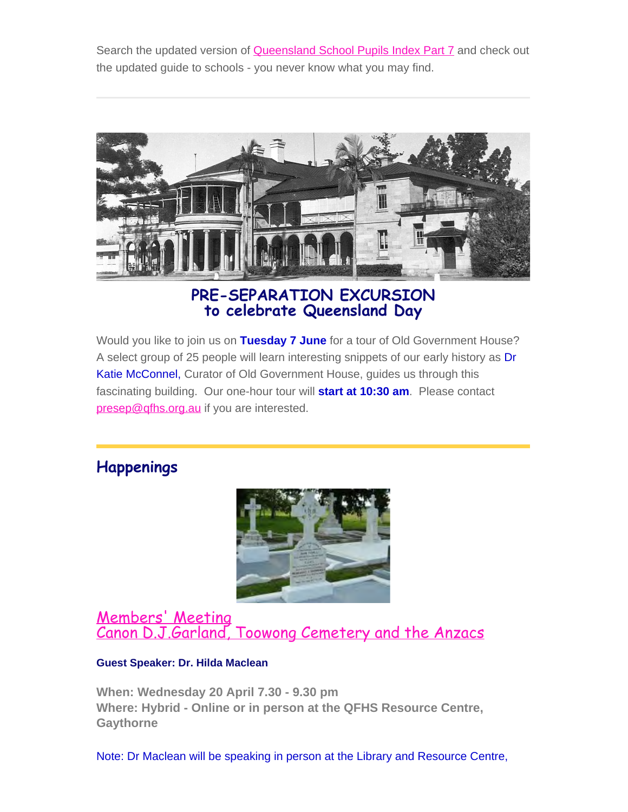Search the updated version of **Queensland School Pupils Index Part 7** and check out the updated guide to schools - you never know what you may find.



**PRE-SEPARATION EXCURSION to celebrate Queensland Day**

Would you like to join us on **Tuesday 7 June** for a tour of Old Government House? A select group of 25 people will learn interesting snippets of our early history as Dr Katie McConnel, Curator of Old Government House, guides us through this fascinating building. Our one-hour tour will **start at 10:30 am**. Please contact [presep@qfhs.org.au](mailto:presep@qfhs.org.au) if you are interested.

## **Happenings**



[Members' Meeting](https://www.qfhs.org.au/CalendarEvent.aspx?dt=20220420_193000_54) [Canon D.J.Garland, Toowong Cemetery and the Anzacs](https://www.qfhs.org.au/CalendarEvent.aspx?dt=20220420_193000_54)

#### **Guest Speaker: Dr. Hilda Maclean**

**When: Wednesday 20 April 7.30 - 9.30 pm Where: Hybrid - Online or in person at the QFHS Resource Centre, Gaythorne**

Note: Dr Maclean will be speaking in person at the Library and Resource Centre,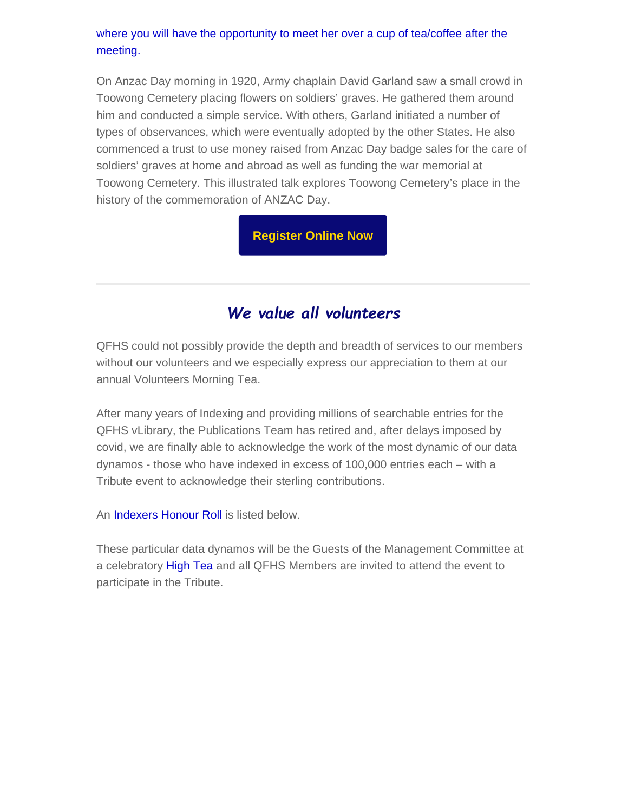#### where you will have the opportunity to meet her over a cup of tea/coffee after the meeting.

On Anzac Day morning in 1920, Army chaplain David Garland saw a small crowd in Toowong Cemetery placing flowers on soldiers' graves. He gathered them around him and conducted a simple service. With others, Garland initiated a number of types of observances, which were eventually adopted by the other States. He also commenced a trust to use money raised from Anzac Day badge sales for the care of soldiers' graves at home and abroad as well as funding the war memorial at Toowong Cemetery. This illustrated talk explores Toowong Cemetery's place in the history of the commemoration of ANZAC Day.

**[Register Online Now](https://www.eventbrite.com.au/e/members-meeting-april-hilda-maclean-tickets-290034068707)**

# *We value all volunteers*

QFHS could not possibly provide the depth and breadth of services to our members without our volunteers and we especially express our appreciation to them at our annual Volunteers Morning Tea.

After many years of Indexing and providing millions of searchable entries for the QFHS vLibrary, the Publications Team has retired and, after delays imposed by covid, we are finally able to acknowledge the work of the most dynamic of our data dynamos - those who have indexed in excess of 100,000 entries each – with a Tribute event to acknowledge their sterling contributions.

An **Indexers Honour Roll** is listed below.

These particular data dynamos will be the Guests of the Management Committee at a celebratory High Tea and all QFHS Members are invited to attend the event to participate in the Tribute.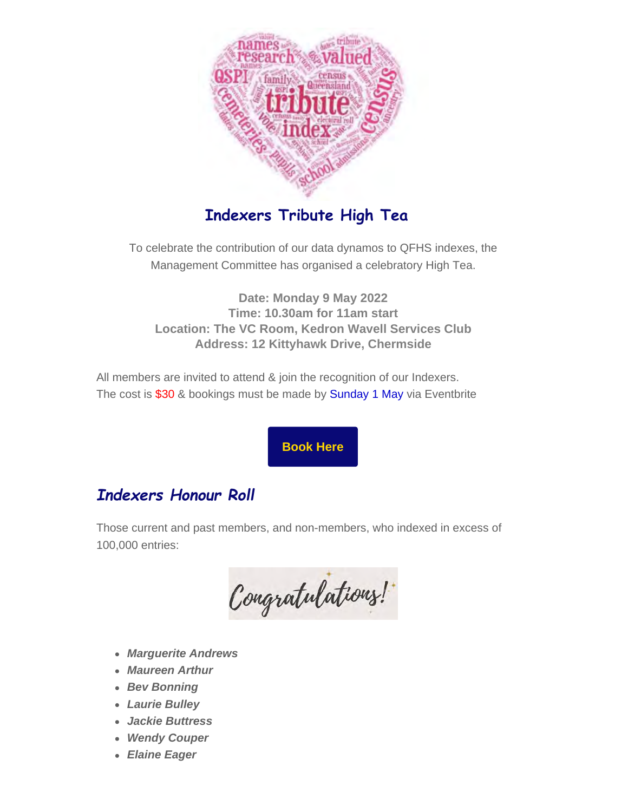

# **Indexers Tribute High Tea**

To celebrate the contribution of our data dynamos to QFHS indexes, the Management Committee has organised a celebratory High Tea.

**Date: Monday 9 May 2022 Time: 10.30am for 11am start Location: The VC Room, Kedron Wavell Services Club Address: 12 Kittyhawk Drive, Chermside**

All members are invited to attend & join the recognition of our Indexers. The cost is \$30 & bookings must be made by Sunday 1 May via Eventbrite

**[Book Here](https://www.eventbrite.com.au/e/qfhs-indexers-tribute-high-tea-tickets-313990904247?aff=ebdssbdestsearch)**

# *Indexers Honour Roll*

Those current and past members, and non-members, who indexed in excess of 100,000 entries:

Congratulations!

- *Marguerite Andrews*
- *Maureen Arthur*
- *Bev Bonning*
- *Laurie Bulley*
- *Jackie Buttress*
- *Wendy Couper*
- *Elaine Eager*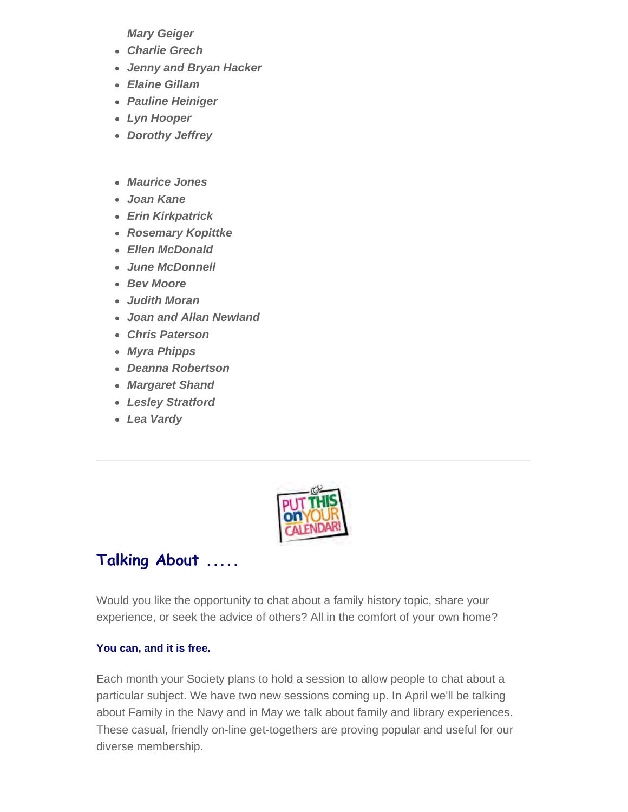*Mary Geiger*

- *Charlie Grech*
- *Jenny and Bryan Hacker*
- *Elaine Gillam*
- *Pauline Heiniger*
- *Lyn Hooper*
- *Dorothy Jeffrey*
- *Maurice Jones*
- *Joan Kane*
- *Erin Kirkpatrick*
- *Rosemary Kopittke*
- *Ellen McDonald*
- *June McDonnell*
- *Bev Moore*
- *Judith Moran*
- *Joan and Allan Newland*
- *Chris Paterson*
- *Myra Phipps*
- *Deanna Robertson*
- *Margaret Shand*
- *Lesley Stratford*
- *Lea Vardy*



# **Talking About .....**

Would you like the opportunity to chat about a family history topic, share your experience, or seek the advice of others? All in the comfort of your own home?

#### **You can, and it is free.**

Each month your Society plans to hold a session to allow people to chat about a particular subject. We have two new sessions coming up. In April we'll be talking about Family in the Navy and in May we talk about family and library experiences. These casual, friendly on-line get-togethers are proving popular and useful for our diverse membership.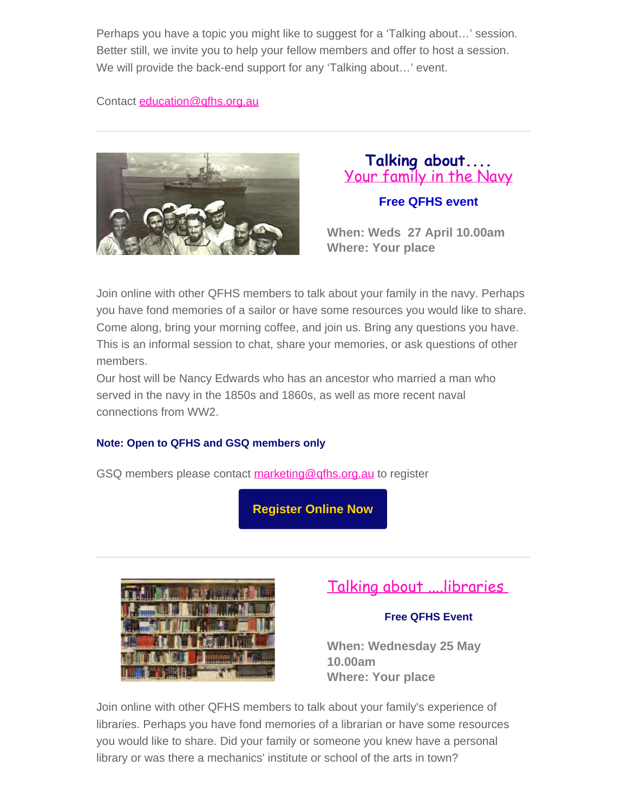Perhaps you have a topic you might like to suggest for a 'Talking about…' session. Better still, we invite you to help your fellow members and offer to host a session. We will provide the back-end support for any 'Talking about…' event.

Contact [education@qfhs.org.au](mailto:education@qfhs.org.au)



## **Talking about....** [Your family in the Navy](https://www.qfhs.org.au/events/talking-about-your-family-in-the-navy/)

## **Free QFHS event**

**When: Weds 27 April 10.00am Where: Your place**

Join online with other QFHS members to talk about your family in the navy. Perhaps you have fond memories of a sailor or have some resources you would like to share. Come along, bring your morning coffee, and join us. Bring any questions you have. This is an informal session to chat, share your memories, or ask questions of other members.

Our host will be Nancy Edwards who has an ancestor who married a man who served in the navy in the 1850s and 1860s, as well as more recent naval connections from WW2.

## **Note: Open to QFHS and GSQ members only**

GSQ members please contact [marketing@qfhs.org.au](mailto:marketin@qfhs.org.au) to register

**[Register Online Now](https://www.eventbrite.com.au/e/talking-about-your-family-in-the-navy-tickets-294987685107)**



# [Talking about ....libraries](https://www.qfhs.org.au/events/talking-about-libraries/)

## **Free QFHS Event**

**When: Wednesday 25 May 10.00am Where: Your place**

Join online with other QFHS members to talk about your family's experience of libraries. Perhaps you have fond memories of a librarian or have some resources you would like to share. Did your family or someone you knew have a personal library or was there a mechanics' institute or school of the arts in town?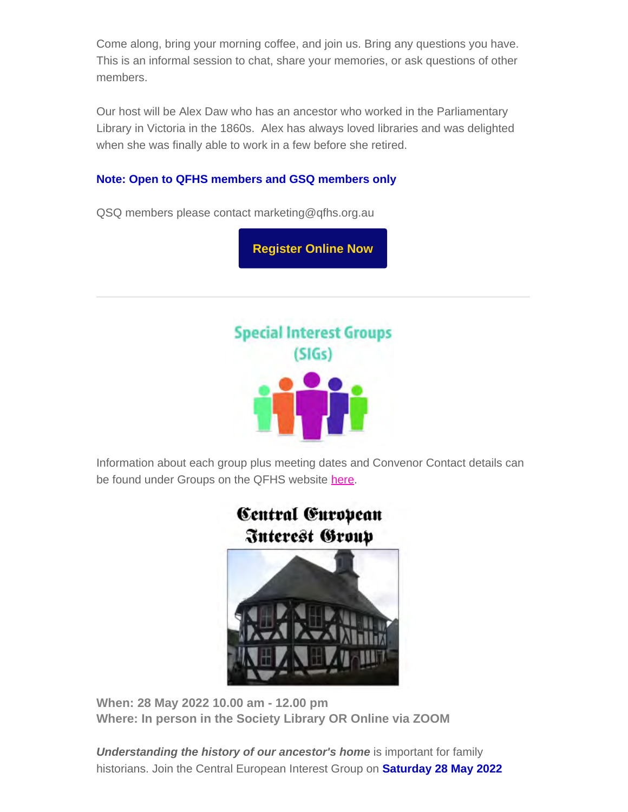Come along, bring your morning coffee, and join us. Bring any questions you have. This is an informal session to chat, share your memories, or ask questions of other members.

Our host will be Alex Daw who has an ancestor who worked in the Parliamentary Library in Victoria in the 1860s. Alex has always loved libraries and was delighted when she was finally able to work in a few before she retired.

#### **Note: Open to QFHS members and GSQ members only**

QSQ members please contact marketing@qfhs.org.au

**[Register Online Now](https://www.eventbrite.com.au/e/talking-about-libraries-tickets-309146885657)**



Information about each group plus meeting dates and Convenor Contact details can be found under Groups on the QFHS website [here.](https://www.qfhs.org.au/groups/)

> Central European **Interest Group**



**When: 28 May 2022 10.00 am - 12.00 pm Where: In person in the Society Library OR Online via ZOOM**

**Understanding the history of our ancestor's home** is important for family historians. Join the Central European Interest Group on **Saturday 28 May 2022**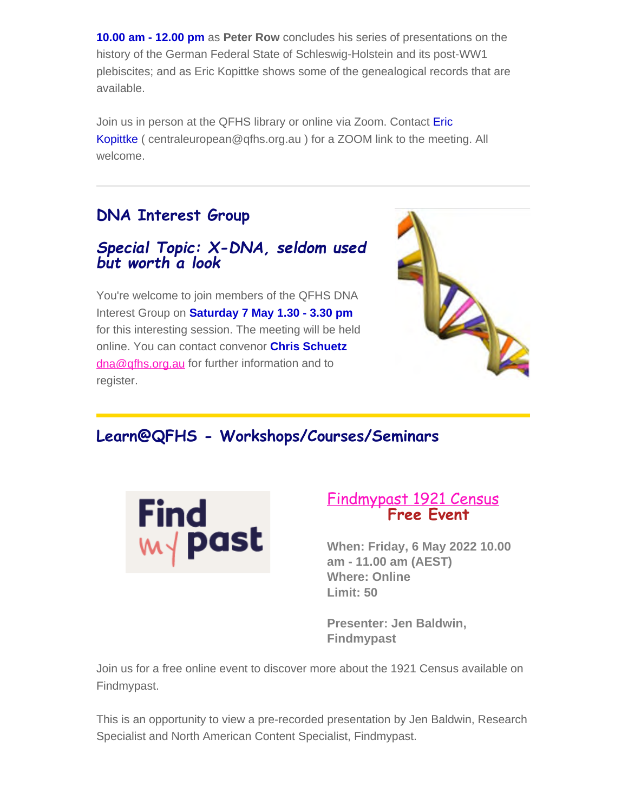**10.00 am - 12.00 pm** as **Peter Row** concludes his series of presentations on the history of the German Federal State of Schleswig-Holstein and its post-WW1 plebiscites; and as Eric Kopittke shows some of the genealogical records that are available.

Join us in person at the QFHS library or online via Zoom. Contact Eric Kopittke ( centraleuropean@qfhs.org.au ) for a ZOOM link to the meeting. All welcome.

# **DNA Interest Group**

## *Special Topic: X-DNA, seldom used but worth a look*

You're welcome to join members of the QFHS DNA Interest Group on **Saturday 7 May 1.30 - 3.30 pm** for this interesting session. The meeting will be held online. You can contact convenor **Chris Schuetz** [dna@qfhs.org.au](mailto:dna@qfhs.org.au) for further information and to register.



## **Learn@QFHS - Workshops/Courses/Seminars**



# [Findmypast 1921 Census](https://www.qfhs.org.au/events/learn-qfhs/1921-census/) **Free Event**

**When: Friday, 6 May 2022 10.00 am - 11.00 am (AEST) Where: Online Limit: 50**

**Presenter: Jen Baldwin, Findmypast**

Join us for a free online event to discover more about the 1921 Census available on Findmypast.

This is an opportunity to view a pre-recorded presentation by Jen Baldwin, Research Specialist and North American Content Specialist, Findmypast.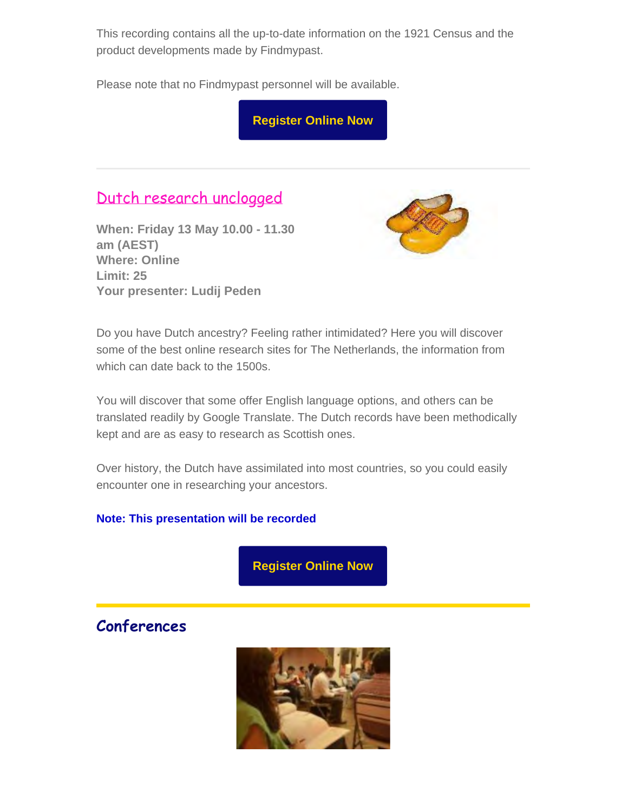This recording contains all the up-to-date information on the 1921 Census and the product developments made by Findmypast.

Please note that no Findmypast personnel will be available.

**[Register Online Now](https://www.eventbrite.com.au/e/findmypast-1921-cenus-tickets-294351452117)**

# [Dutch research unclogged](https://www.qfhs.org.au/events/learn-qfhs/dutch-research-unclogged/)

**When: Friday 13 May 10.00 - 11.30 am (AEST) Where: Online Limit: 25 Your presenter: Ludij Peden**



Do you have Dutch ancestry? Feeling rather intimidated? Here you will discover some of the best online research sites for The Netherlands, the information from which can date back to the 1500s.

You will discover that some offer English language options, and others can be translated readily by Google Translate. The Dutch records have been methodically kept and are as easy to research as Scottish ones.

Over history, the Dutch have assimilated into most countries, so you could easily encounter one in researching your ancestors.

#### **Note: This presentation will be recorded**

**[Register Online Now](https://www.eventbrite.com.au/e/dutch-research-unclogged-tickets-249014859147)**

## **Conferences**

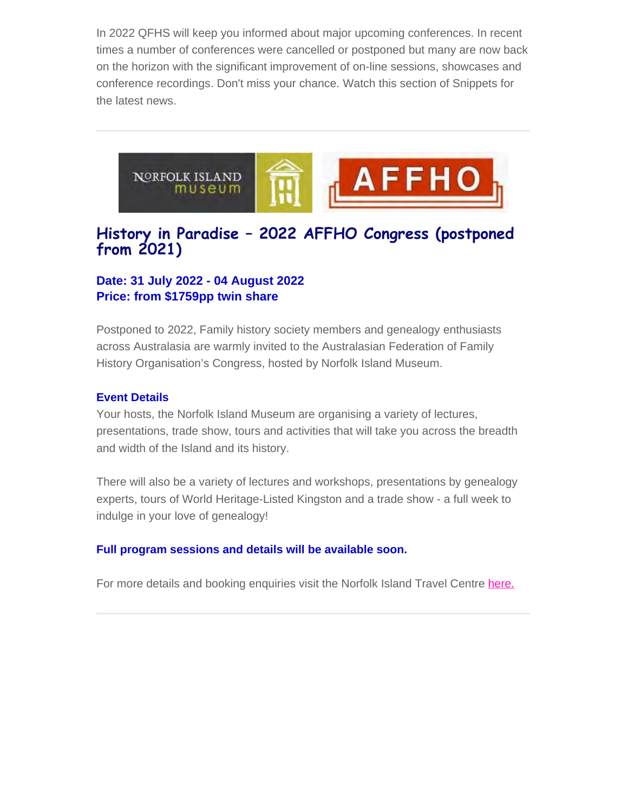In 2022 QFHS will keep you informed about major upcoming conferences. In recent times a number of conferences were cancelled or postponed but many are now back on the horizon with the significant improvement of on-line sessions, showcases and conference recordings. Don't miss your chance. Watch this section of Snippets for the latest news.



## **History in Paradise – 2022 AFFHO Congress (postponed from 2021)**

#### **Date: 31 July 2022 - 04 August 2022 Price: from \$1759pp twin share**

Postponed to 2022, Family history society members and genealogy enthusiasts across Australasia are warmly invited to the Australasian Federation of Family History Organisation's Congress, hosted by Norfolk Island Museum.

#### **Event Details**

Your hosts, the Norfolk Island Museum are organising a variety of lectures, presentations, trade show, tours and activities that will take you across the breadth and width of the Island and its history.

There will also be a variety of lectures and workshops, presentations by genealogy experts, tours of World Heritage-Listed Kingston and a trade show - a full week to indulge in your love of genealogy!

#### **Full program sessions and details will be available soon.**

For more details and booking enquiries visit the Norfolk Island Travel Centre [here.](https://www.norfolkislandtravelcentre.com/event/history-in-paradise-2021-affho-congress/?utm_source=sendinblue&utm_campaign=AFFHO%20Congress%202022%20-%20Round%201%20Indiv%20%20Clubs%20AU&utm_medium=email)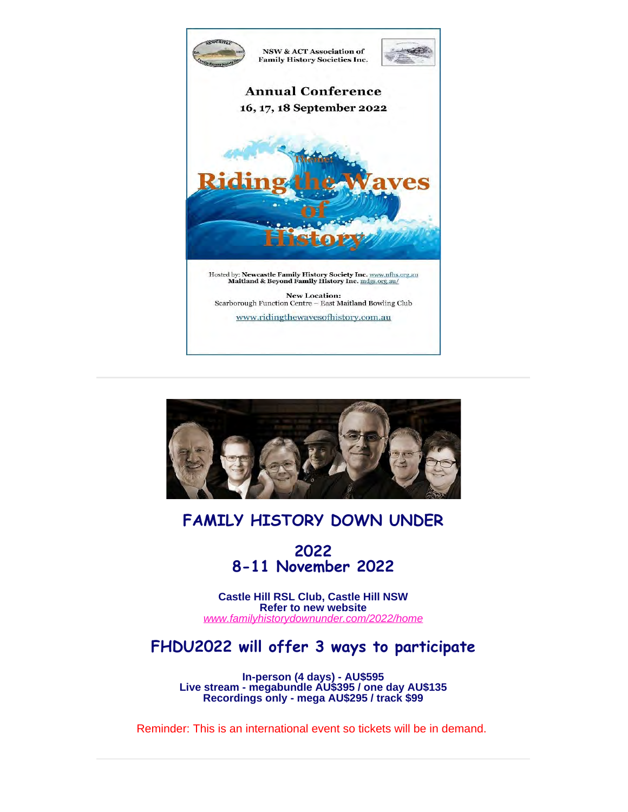



## **FAMILY HISTORY DOWN UNDER**

**2022 8-11 November 2022**

**Castle Hill RSL Club, Castle Hill NSW Refer to new website** *[www.familyhistorydownunder.com/2022/home](https://www.fhdu22.com/)*

# **FHDU2022 will offer 3 ways to participate**

**In-person (4 days) - AU\$595 Live stream - megabundle AU\$395 / one day AU\$135 Recordings only - mega AU\$295 / track \$99**

Reminder: This is an international event so tickets will be in demand.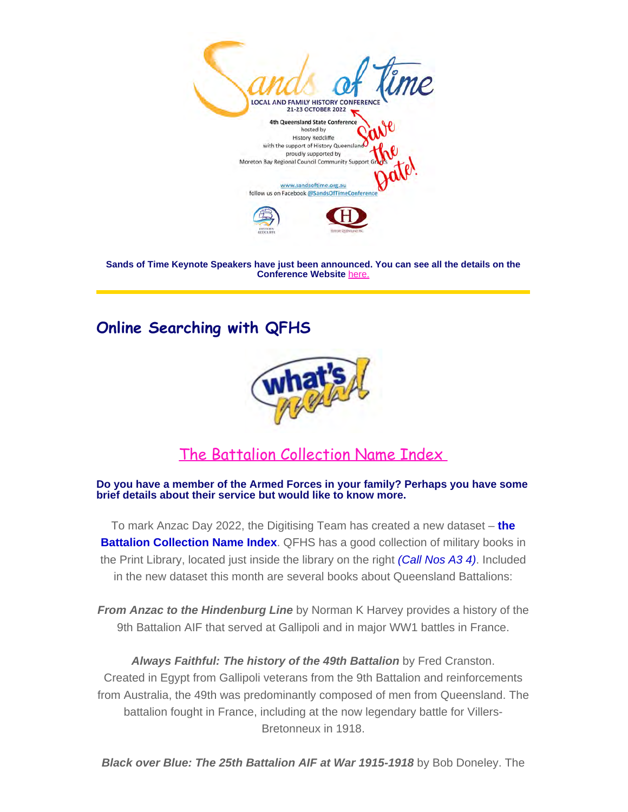

**Sands of Time Keynote Speakers have just been announced. You can see all the details on the Conference Website** [here.](https://sandsoftime.org.au/)

# **Online Searching with QFHS**



# [The Battalion Collection Name](https://www.qfhs.org.au/online-access/battalionindexes/) Index

#### **Do you have a member of the Armed Forces in your family? Perhaps you have some brief details about their service but would like to know more.**

To mark Anzac Day 2022, the Digitising Team has created a new dataset – **the Battalion Collection Name Index**. QFHS has a good collection of military books in the Print Library, located just inside the library on the right *(Call Nos A3 4)*. Included in the new dataset this month are several books about Queensland Battalions:

*From Anzac to the Hindenburg Line* by Norman K Harvey provides a history of the 9th Battalion AIF that served at Gallipoli and in major WW1 battles in France.

*Always Faithful: The history of the 49th Battalion* by Fred Cranston. Created in Egypt from Gallipoli veterans from the 9th Battalion and reinforcements from Australia, the 49th was predominantly composed of men from Queensland. The battalion fought in France, including at the now legendary battle for Villers-Bretonneux in 1918.

*Black over Blue: The 25th Battalion AIF at War 1915-1918* by Bob Doneley. The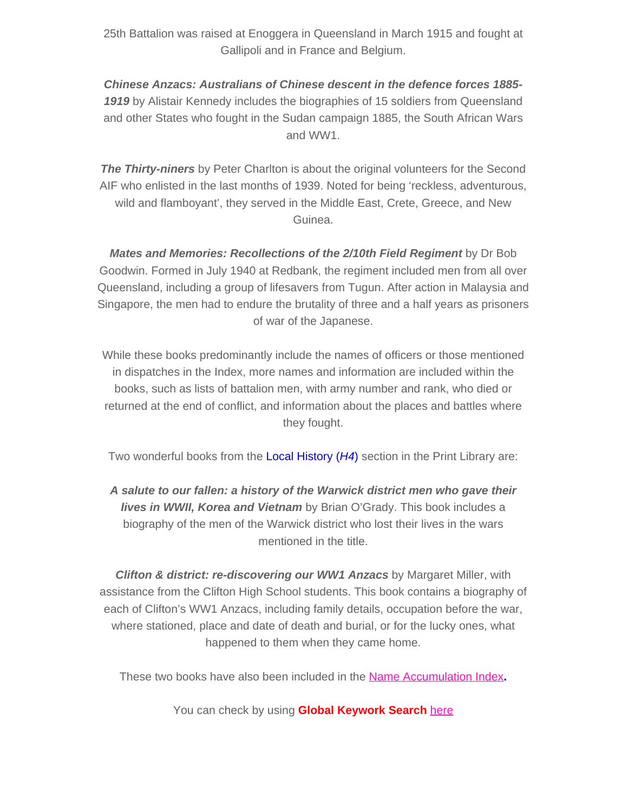25th Battalion was raised at Enoggera in Queensland in March 1915 and fought at Gallipoli and in France and Belgium.

*Chinese Anzacs: Australians of Chinese descent in the defence forces 1885- 1919* by Alistair Kennedy includes the biographies of 15 soldiers from Queensland and other States who fought in the Sudan campaign 1885, the South African Wars and WW1.

**The Thirty-niners** by Peter Charlton is about the original volunteers for the Second AIF who enlisted in the last months of 1939. Noted for being 'reckless, adventurous, wild and flamboyant', they served in the Middle East, Crete, Greece, and New Guinea.

*Mates and Memories: Recollections of the 2/10th Field Regiment* by Dr Bob Goodwin. Formed in July 1940 at Redbank, the regiment included men from all over Queensland, including a group of lifesavers from Tugun. After action in Malaysia and Singapore, the men had to endure the brutality of three and a half years as prisoners of war of the Japanese.

While these books predominantly include the names of officers or those mentioned in dispatches in the Index, more names and information are included within the books, such as lists of battalion men, with army number and rank, who died or returned at the end of conflict, and information about the places and battles where they fought.

Two wonderful books from the Local History (*H4*) section in the Print Library are:

*A salute to our fallen: a history of the Warwick district men who gave their lives in WWII, Korea and Vietnam* by Brian O'Grady. This book includes a biography of the men of the Warwick district who lost their lives in the wars mentioned in the title.

**Clifton & district: re-discovering our WW1 Anzacs** by Margaret Miller, with assistance from the Clifton High School students. This book contains a biography of each of Clifton's WW1 Anzacs, including family details, occupation before the war, where stationed, place and date of death and burial, or for the lucky ones, what happened to them when they came home.

These two books have also been included in the [Name Accumulation Index](https://www.qfhs.org.au/online-access/qfhs-books-name-accumulation-index/)**.**

You can check by using **Global Keywork Search** [here](https://www.qfhs.org.au/online-access/searchable-datasets/global-keyword-search/)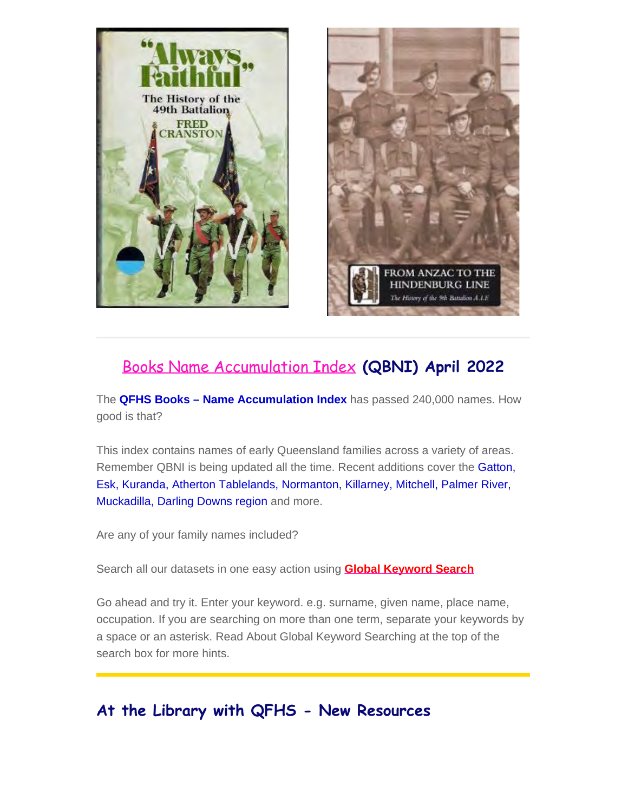



# [Books Name Accumulation Index](https://www.qfhs.org.au/online-access/qfhs-books-name-accumulation-index/) **(QBNI) April 2022**

The **QFHS Books – Name Accumulation Index** has passed 240,000 names. How good is that?

This index contains names of early Queensland families across a variety of areas. Remember QBNI is being updated all the time. Recent additions cover the Gatton, Esk, Kuranda, Atherton Tablelands, Normanton, Killarney, Mitchell, Palmer River, Muckadilla, Darling Downs region and more.

Are any of your family names included?

Search all our datasets in one easy action using **[Global Keyword Search](https://www.qfhs.org.au/online-access/searchable-datasets/global-keyword-search/)**

Go ahead and try it. Enter your keyword. e.g. surname, given name, place name, occupation. If you are searching on more than one term, separate your keywords by a space or an asterisk. Read About Global Keyword Searching at the top of the search box for more hints.

## **At the Library with QFHS - New Resources**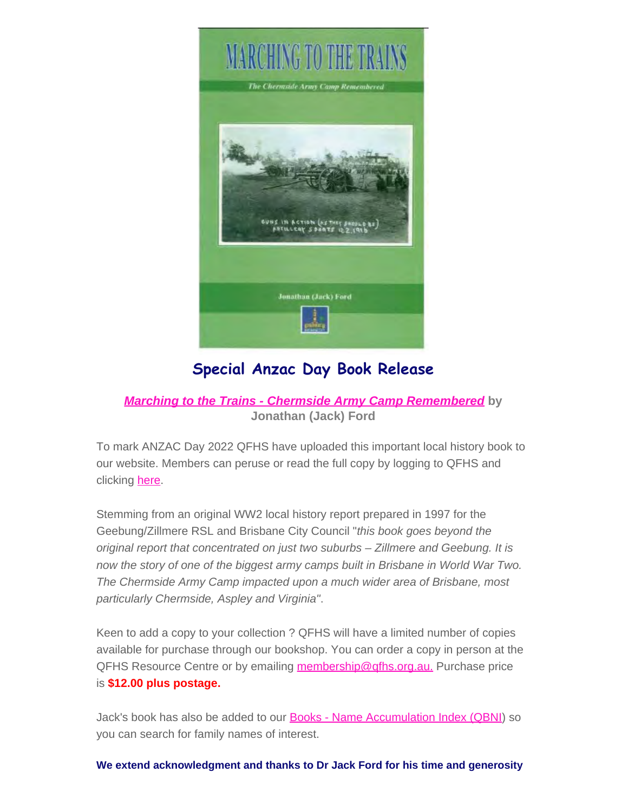

# **Special Anzac Day Book Release**

## *[Marching to the Trains - Chermside Army Camp Remembered](https://www.qfhs.org.au/online-access/searchable-collections/other-works/)* **by Jonathan (Jack) Ford**

To mark ANZAC Day 2022 QFHS have uploaded this important local history book to our website. Members can peruse or read the full copy by logging to QFHS and clicking [here.](https://www.qfhs.org.au/media/1778207/marching-to-the-trains-chermside-army-camp.pdf)

Stemming from an original WW2 local history report prepared in 1997 for the Geebung/Zillmere RSL and Brisbane City Council "*this book goes beyond the original report that concentrated on just two suburbs – Zillmere and Geebung. It is now the story of one of the biggest army camps built in Brisbane in World War Two. The Chermside Army Camp impacted upon a much wider area of Brisbane, most particularly Chermside, Aspley and Virginia"*.

Keen to add a copy to your collection ? QFHS will have a limited number of copies available for purchase through our bookshop. You can order a copy in person at the QFHS Resource Centre or by emailing [membership@qfhs.org.au.](mailto:membership@qfhs.org.au) Purchase price is **\$12.00 plus postage.**

Jack's book has also be added to our [Books - Name Accumulation Index \(QBNI](https://www.qfhs.org.au/online-access/qfhs-books-name-accumulation-index/)) so you can search for family names of interest.

**We extend acknowledgment and thanks to Dr Jack Ford for his time and generosity**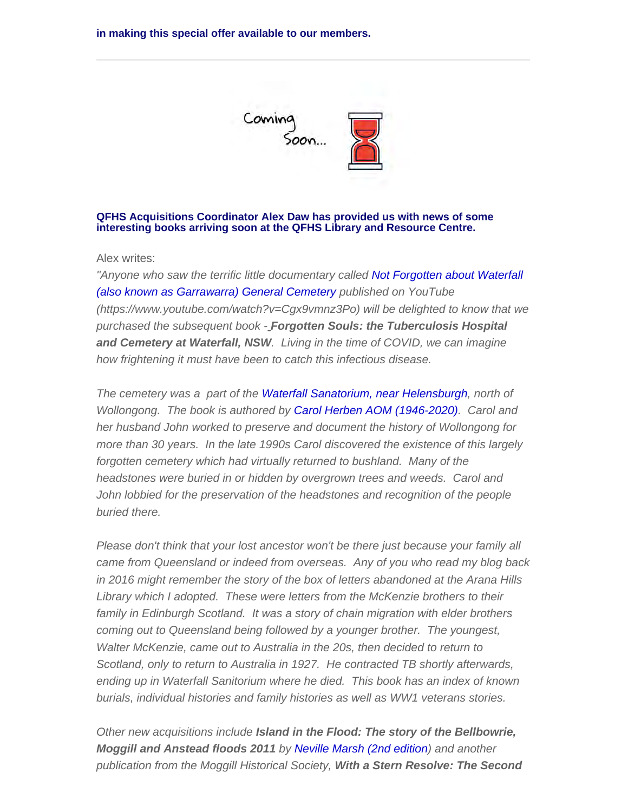**in making this special offer available to our members.** 



#### **QFHS Acquisitions Coordinator Alex Daw has provided us with news of some interesting books arriving soon at the QFHS Library and Resource Centre.**

Alex writes:

*"Anyone who saw the terrific little documentary called Not Forgotten about Waterfall (also known as Garrawarra) General Cemetery published on YouTube (https://www.youtube.com/watch?v=Cgx9vmnz3Po) will be delighted to know that we purchased the subsequent book - Forgotten Souls: the Tuberculosis Hospital and Cemetery at Waterfall, NSW. Living in the time of COVID, we can imagine how frightening it must have been to catch this infectious disease.*

*The cemetery was a part of the Waterfall Sanatorium, near Helensburgh, north of Wollongong. The book is authored by Carol Herben AOM (1946-2020). Carol and her husband John worked to preserve and document the history of Wollongong for more than 30 years. In the late 1990s Carol discovered the existence of this largely forgotten cemetery which had virtually returned to bushland. Many of the headstones were buried in or hidden by overgrown trees and weeds. Carol and John lobbied for the preservation of the headstones and recognition of the people buried there.*

*Please don't think that your lost ancestor won't be there just because your family all came from Queensland or indeed from overseas. Any of you who read my blog back in 2016 might remember the story of the box of letters abandoned at the Arana Hills Library which I adopted. These were letters from the McKenzie brothers to their family in Edinburgh Scotland. It was a story of chain migration with elder brothers coming out to Queensland being followed by a younger brother. The youngest, Walter McKenzie, came out to Australia in the 20s, then decided to return to Scotland, only to return to Australia in 1927. He contracted TB shortly afterwards, ending up in Waterfall Sanitorium where he died. This book has an index of known burials, individual histories and family histories as well as WW1 veterans stories.*

*Other new acquisitions include Island in the Flood: The story of the Bellbowrie, Moggill and Anstead floods 2011 by Neville Marsh (2nd edition) and another publication from the Moggill Historical Society, With a Stern Resolve: The Second*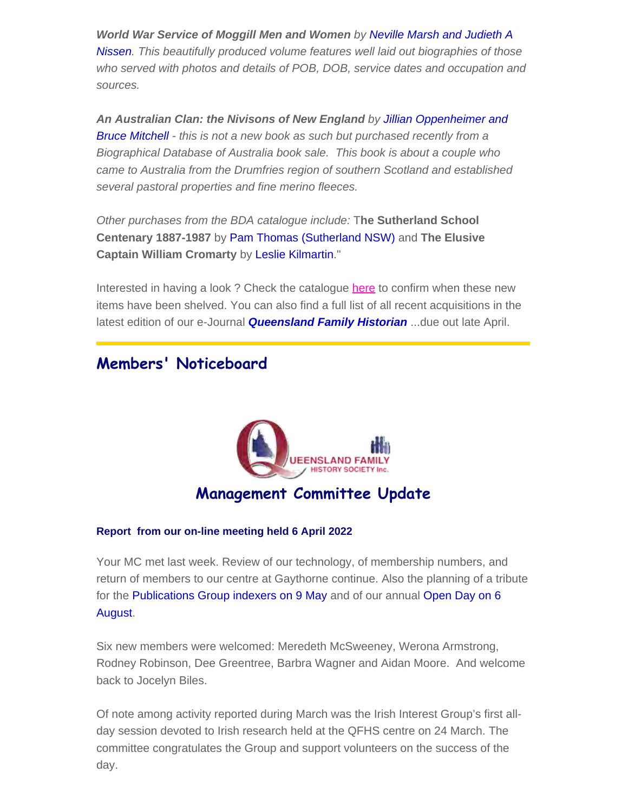*World War Service of Moggill Men and Women by Neville Marsh and Judieth A Nissen. This beautifully produced volume features well laid out biographies of those who served with photos and details of POB, DOB, service dates and occupation and sources.*

*An Australian Clan: the Nivisons of New England by Jillian Oppenheimer and Bruce Mitchell - this is not a new book as such but purchased recently from a Biographical Database of Australia book sale. This book is about a couple who came to Australia from the Drumfries region of southern Scotland and established several pastoral properties and fine merino fleeces.*

*Other purchases from the BDA catalogue include:* T**he Sutherland School Centenary 1887-1987** by Pam Thomas (Sutherland NSW) and **The Elusive Captain William Cromarty** by Leslie Kilmartin."

Interested in having a look ? Check the catalogue [here](https://www.qfhs.org.au/resources/catalogue-search/) to confirm when these new items have been shelved. You can also find a full list of all recent acquisitions in the latest edition of our e-Journal *Queensland Family Historian* ...due out late April.

## **Members' Noticeboard**



#### **Report from our on-line meeting held 6 April 2022**

Your MC met last week. Review of our technology, of membership numbers, and return of members to our centre at Gaythorne continue. Also the planning of a tribute for the Publications Group indexers on 9 May and of our annual Open Day on 6 August.

Six new members were welcomed: Meredeth McSweeney, Werona Armstrong, Rodney Robinson, Dee Greentree, Barbra Wagner and Aidan Moore. And welcome back to Jocelyn Biles.

Of note among activity reported during March was the Irish Interest Group's first allday session devoted to Irish research held at the QFHS centre on 24 March. The committee congratulates the Group and support volunteers on the success of the day.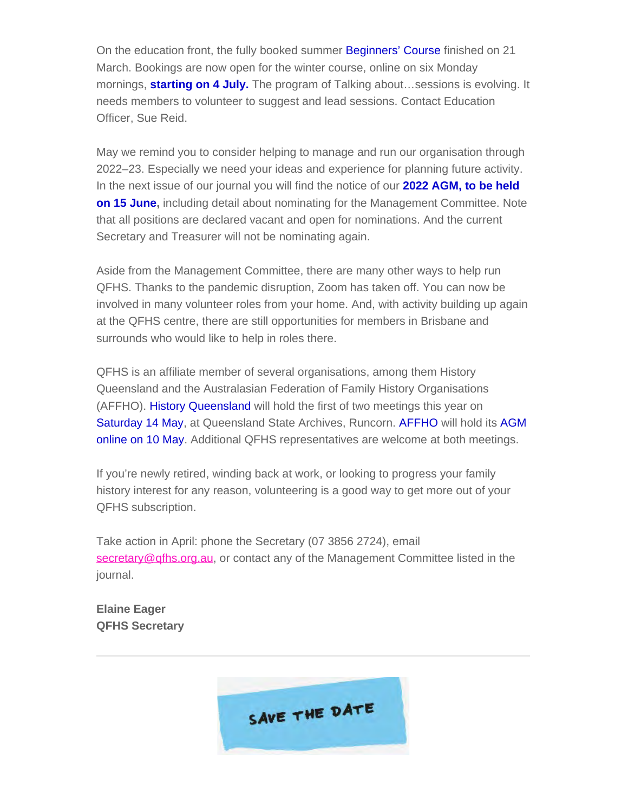On the education front, the fully booked summer Beginners' Course finished on 21 March. Bookings are now open for the winter course, online on six Monday mornings, **starting on 4 July.** The program of Talking about…sessions is evolving. It needs members to volunteer to suggest and lead sessions. Contact Education Officer, Sue Reid.

May we remind you to consider helping to manage and run our organisation through 2022–23. Especially we need your ideas and experience for planning future activity. In the next issue of our journal you will find the notice of our **2022 AGM, to be held on 15 June,** including detail about nominating for the Management Committee. Note that all positions are declared vacant and open for nominations. And the current Secretary and Treasurer will not be nominating again.

Aside from the Management Committee, there are many other ways to help run QFHS. Thanks to the pandemic disruption, Zoom has taken off. You can now be involved in many volunteer roles from your home. And, with activity building up again at the QFHS centre, there are still opportunities for members in Brisbane and surrounds who would like to help in roles there.

QFHS is an affiliate member of several organisations, among them History Queensland and the Australasian Federation of Family History Organisations (AFFHO). History Queensland will hold the first of two meetings this year on Saturday 14 May, at Queensland State Archives, Runcorn. AFFHO will hold its AGM online on 10 May. Additional QFHS representatives are welcome at both meetings.

If you're newly retired, winding back at work, or looking to progress your family history interest for any reason, volunteering is a good way to get more out of your QFHS subscription.

Take action in April: phone the Secretary (07 3856 2724), email [secretary@qfhs.org.au](mailto:secretary@qfhs.org.au), or contact any of the Management Committee listed in the journal.

**Elaine Eager QFHS Secretary**

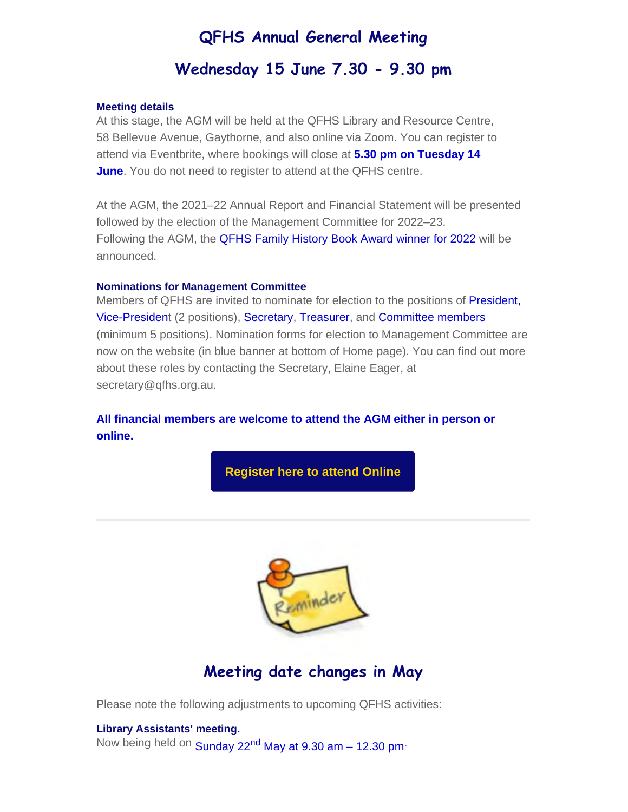## **QFHS Annual General Meeting**

## **Wednesday 15 June 7.30 - 9.30 pm**

#### **Meeting details**

At this stage, the AGM will be held at the QFHS Library and Resource Centre, 58 Bellevue Avenue, Gaythorne, and also online via Zoom. You can register to attend via Eventbrite, where bookings will close at **5.30 pm on Tuesday 14 June**. You do not need to register to attend at the QFHS centre.

At the AGM, the 2021–22 Annual Report and Financial Statement will be presented followed by the election of the Management Committee for 2022–23. Following the AGM, the QFHS Family History Book Award winner for 2022 will be announced.

#### **Nominations for Management Committee**

Members of QFHS are invited to nominate for election to the positions of President, Vice-President (2 positions), Secretary, Treasurer, and Committee members (minimum 5 positions). Nomination forms for election to Management Committee are now on the website (in blue banner at bottom of Home page). You can find out more about these roles by contacting the Secretary, Elaine Eager, at secretary@qfhs.org.au.

#### **All financial members are welcome to attend the AGM either in person or online.**

**[Register here to attend Online](https://www.eventbrite.com.au/e/qfhs-annual-general-meeting-and-qfhs-book-award-tickets-320375219907)**



## **Meeting date changes in May**

Please note the following adjustments to upcoming QFHS activities:

**Library Assistants' meeting.** Now being held on Sunday 22<sup>nd</sup> May at 9.30 am - 12.30 pm<sup>.</sup>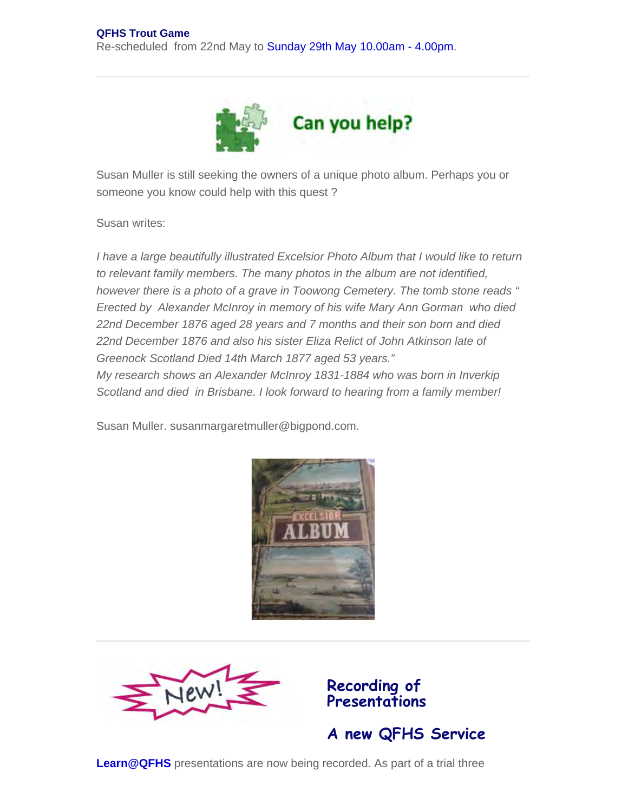

Susan Muller is still seeking the owners of a unique photo album. Perhaps you or someone you know could help with this quest ?

Susan writes:

*I have a large beautifully illustrated Excelsior Photo Album that I would like to return to relevant family members. The many photos in the album are not identified, however there is a photo of a grave in Toowong Cemetery. The tomb stone reads " Erected by Alexander McInroy in memory of his wife Mary Ann Gorman who died 22nd December 1876 aged 28 years and 7 months and their son born and died 22nd December 1876 and also his sister Eliza Relict of John Atkinson late of Greenock Scotland Died 14th March 1877 aged 53 years." My research shows an Alexander McInroy 1831-1884 who was born in Inverkip Scotland and died in Brisbane. I look forward to hearing from a family member!*

Susan Muller. susanmargaretmuller@bigpond.com.





**A new QFHS Service**

**Recording of Presentations**

**Learn@QFHS** presentations are now being recorded. As part of a trial three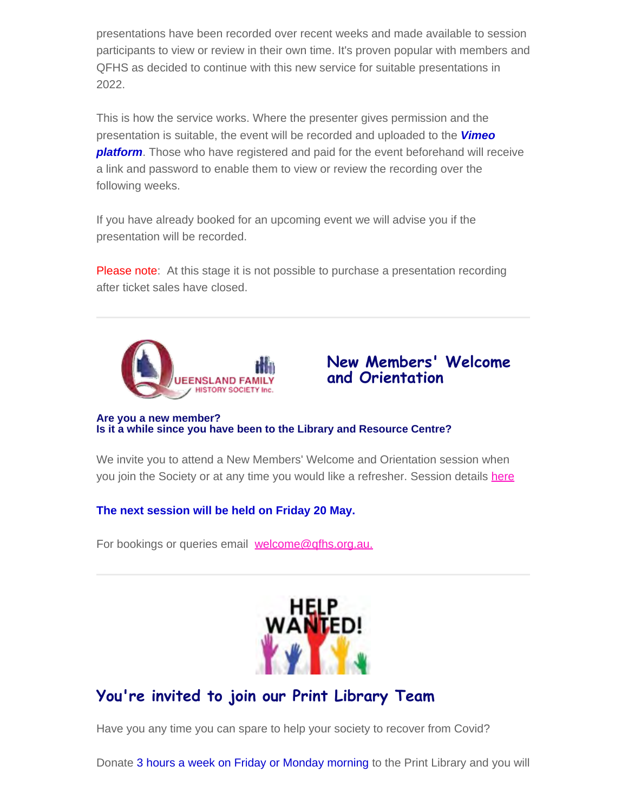presentations have been recorded over recent weeks and made available to session participants to view or review in their own time. It's proven popular with members and QFHS as decided to continue with this new service for suitable presentations in 2022.

This is how the service works. Where the presenter gives permission and the presentation is suitable, the event will be recorded and uploaded to the *Vimeo platform*. Those who have registered and paid for the event beforehand will receive a link and password to enable them to view or review the recording over the following weeks.

If you have already booked for an upcoming event we will advise you if the presentation will be recorded.

Please note: At this stage it is not possible to purchase a presentation recording after ticket sales have closed.





#### **Are you a new member? Is it a while since you have been to the Library and Resource Centre?**

We invite you to attend a New Members' Welcome and Orientation session when you join the Society or at any time you would like a refresher. Session details [here](https://www.qfhs.org.au/events/new-members-welcome-and-orientation/)

**The next session will be held on Friday 20 May.**

For bookings or queries email welcome@gfhs.org.au.



# **You're invited to join our Print Library Team**

Have you any time you can spare to help your society to recover from Covid?

Donate 3 hours a week on Friday or Monday morning to the Print Library and you will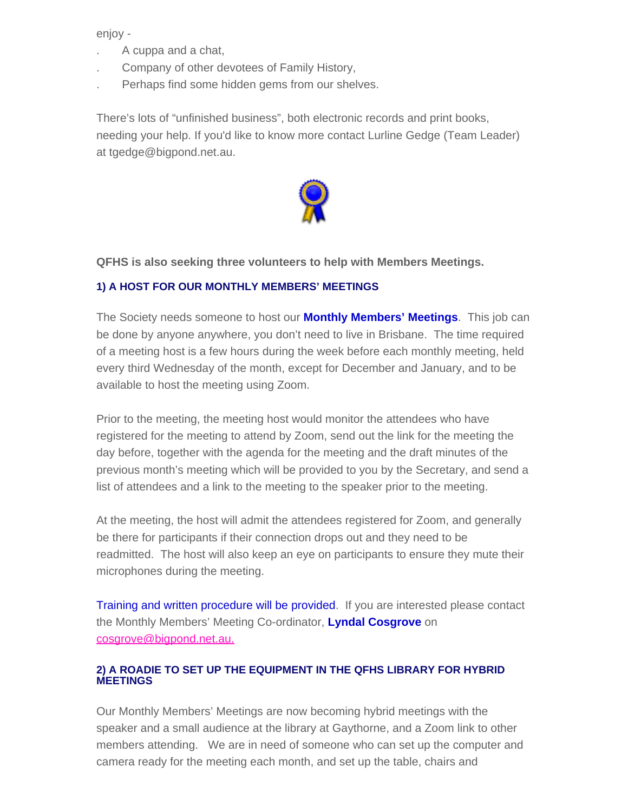enjoy -

- . A cuppa and a chat,
- . Company of other devotees of Family History,
- . Perhaps find some hidden gems from our shelves.

There's lots of "unfinished business", both electronic records and print books, needing your help. If you'd like to know more contact Lurline Gedge (Team Leader) at tgedge@bigpond.net.au.



**QFHS is also seeking three volunteers to help with Members Meetings.**

#### **1) A HOST FOR OUR MONTHLY MEMBERS' MEETINGS**

The Society needs someone to host our **Monthly Members' Meetings**. This job can be done by anyone anywhere, you don't need to live in Brisbane. The time required of a meeting host is a few hours during the week before each monthly meeting, held every third Wednesday of the month, except for December and January, and to be available to host the meeting using Zoom.

Prior to the meeting, the meeting host would monitor the attendees who have registered for the meeting to attend by Zoom, send out the link for the meeting the day before, together with the agenda for the meeting and the draft minutes of the previous month's meeting which will be provided to you by the Secretary, and send a list of attendees and a link to the meeting to the speaker prior to the meeting.

At the meeting, the host will admit the attendees registered for Zoom, and generally be there for participants if their connection drops out and they need to be readmitted. The host will also keep an eye on participants to ensure they mute their microphones during the meeting.

Training and written procedure will be provided. If you are interested please contact the Monthly Members' Meeting Co-ordinator, **Lyndal Cosgrove** on [cosgrove@bigpond.net.au.](mailto:cosgrove@bigpond.net.au)

#### **2) A ROADIE TO SET UP THE EQUIPMENT IN THE QFHS LIBRARY FOR HYBRID MEETINGS**

Our Monthly Members' Meetings are now becoming hybrid meetings with the speaker and a small audience at the library at Gaythorne, and a Zoom link to other members attending. We are in need of someone who can set up the computer and camera ready for the meeting each month, and set up the table, chairs and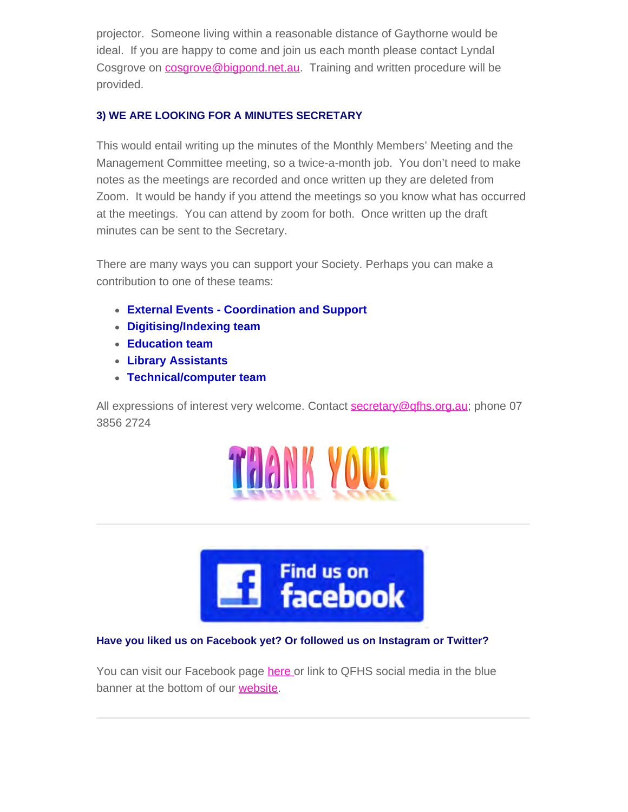projector. Someone living within a reasonable distance of Gaythorne would be ideal. If you are happy to come and join us each month please contact Lyndal Cosgrove on **[cosgrove@bigpond.net.au](mailto:cosgrove@bigpond.net.au)**. Training and written procedure will be provided.

#### **3) WE ARE LOOKING FOR A MINUTES SECRETARY**

This would entail writing up the minutes of the Monthly Members' Meeting and the Management Committee meeting, so a twice-a-month job. You don't need to make notes as the meetings are recorded and once written up they are deleted from Zoom. It would be handy if you attend the meetings so you know what has occurred at the meetings. You can attend by zoom for both. Once written up the draft minutes can be sent to the Secretary.

There are many ways you can support your Society. Perhaps you can make a contribution to one of these teams:

- **External Events Coordination and Support**
- **Digitising/Indexing team**
- **Education team**
- **Library Assistants**
- **Technical/computer team**

All expressions of interest very welcome. Contact [secretary@qfhs.org.au](mailto:secretary@qfhs.org.au); phone 07 3856 2724





## **Have you liked us on Facebook yet? Or followed us on Instagram or Twitter?**

You can visit our Facebook page [here](https://www.facebook.com/qldfamilyhistorysociety/) or link to QFHS social media in the blue banner at the bottom of our [website.](https://www.qfhs.org.au/)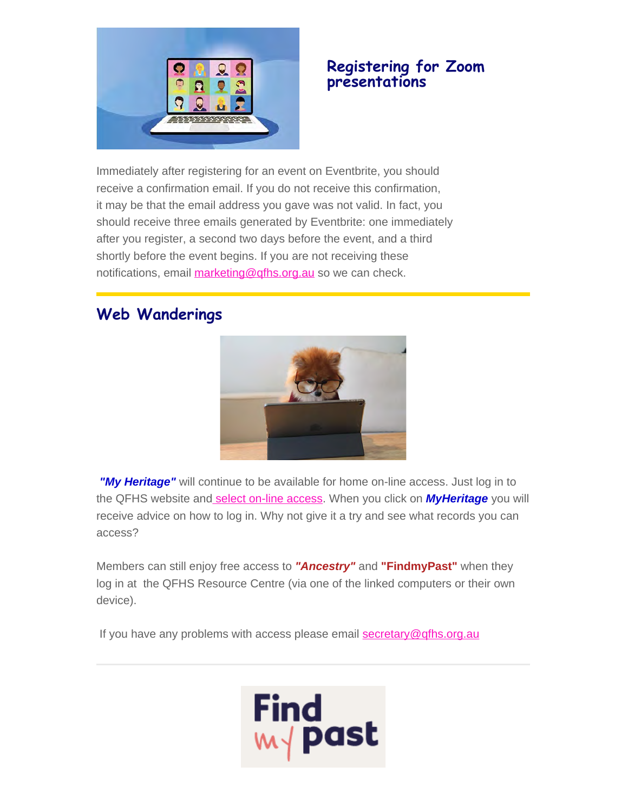

## **Registering for Zoom presentations**

Immediately after registering for an event on Eventbrite, you should receive a confirmation email. If you do not receive this confirmation, it may be that the email address you gave was not valid. In fact, you should receive three emails generated by Eventbrite: one immediately after you register, a second two days before the event, and a third shortly before the event begins. If you are not receiving these notifications, email [marketing@qfhs.org.au](mailto:marketing@qfhs.org.au) so we can check.

# **Web Wanderings**



*"My Heritage"* will continue to be available for home on-line access. Just log in to the QFHS website an[d select on-line access](https://www.qfhs.org.au/online-access/). When you click on *MyHeritage* you will receive advice on how to log in. Why not give it a try and see what records you can access?

Members can still enjoy free access to *"Ancestry"* and **"FindmyPast"** when they log in at the QFHS Resource Centre (via one of the linked computers or their own device).

If you have any problems with access please email [secretary@qfhs.org.au](mailto:secretary@qfhs.org.au?subject=Access%20to%20Subscription%20sites)

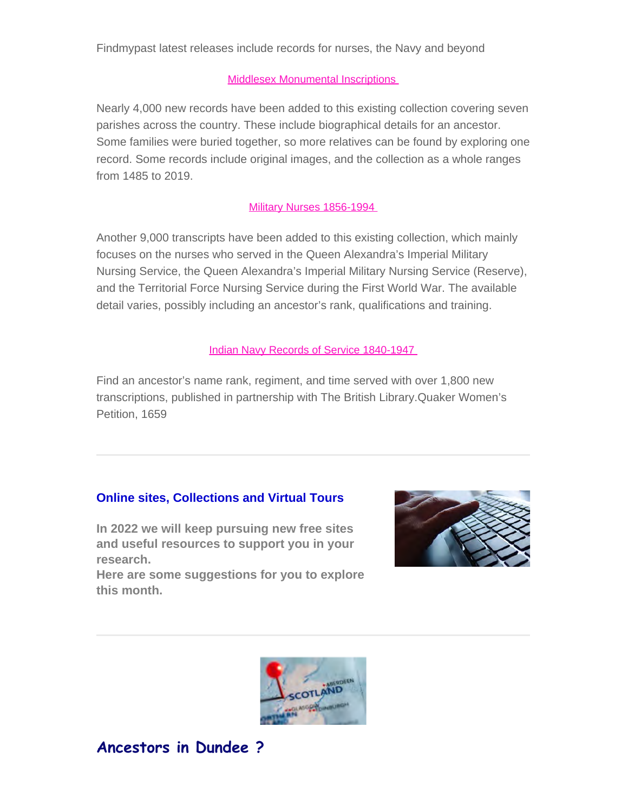#### **[Middlesex Monumental Inscriptions](https://search.findmypast.com.au/search-world-records/middlesex-monumental-inscriptions)**

Nearly 4,000 new records have been added to this existing collection covering seven parishes across the country. These include biographical details for an ancestor. Some families were buried together, so more relatives can be found by exploring one record. Some records include original images, and the collection as a whole ranges from 1485 to 2019.

#### [Military Nurses 1856-1994](https://search.findmypast.com.au/search-world-records/military-nurses-1856-1994)

Another 9,000 transcripts have been added to this existing collection, which mainly focuses on the nurses who served in the Queen Alexandra's Imperial Military Nursing Service, the Queen Alexandra's Imperial Military Nursing Service (Reserve), and the Territorial Force Nursing Service during the First World War. The available detail varies, possibly including an ancestor's rank, qualifications and training.

#### [Indian Navy Records of Service 1840-1947](https://search.findmypast.com.au/search-world-records/indian-navy-records-of-service-1840-1947)

Find an ancestor's name rank, regiment, and time served with over 1,800 new transcriptions, published in partnership with The British Library.Quaker Women's Petition, 1659

#### **Online sites, Collections and Virtual Tours**

**In 2022 we will keep pursuing new free sites and useful resources to support you in your research.**

**Here are some suggestions for you to explore this month.**





## **Ancestors in Dundee ?**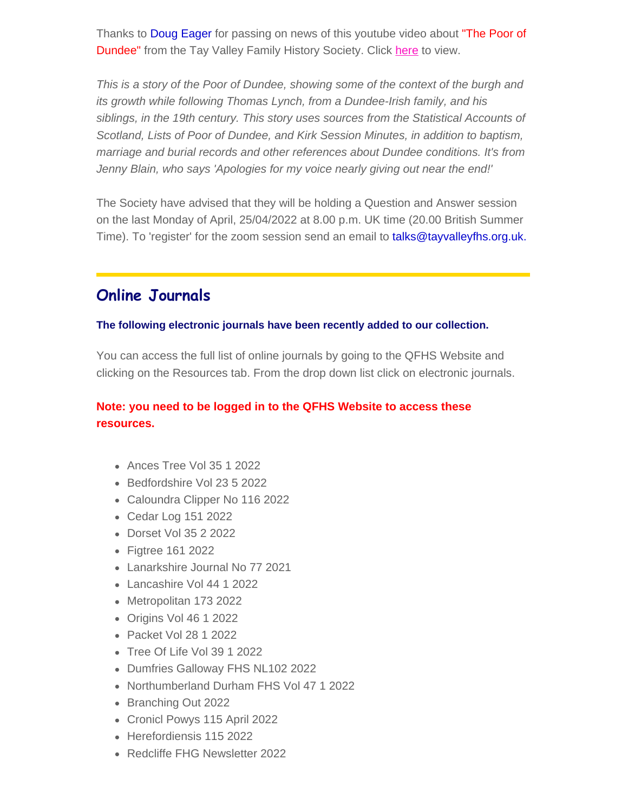Thanks to Doug Eager for passing on news of this youtube video about "The Poor of Dundee" from the Tay Valley Family History Society. Click [here](http:// https//youtu.be/EagPOQXIZqg) to view.

*This is a story of the Poor of Dundee, showing some of the context of the burgh and its growth while following Thomas Lynch, from a Dundee-Irish family, and his siblings, in the 19th century. This story uses sources from the Statistical Accounts of Scotland, Lists of Poor of Dundee, and Kirk Session Minutes, in addition to baptism, marriage and burial records and other references about Dundee conditions. It's from Jenny Blain, who says 'Apologies for my voice nearly giving out near the end!'*

The Society have advised that they will be holding a Question and Answer session on the last Monday of April, 25/04/2022 at 8.00 p.m. UK time (20.00 British Summer Time). To 'register' for the zoom session send an email to talks@tayvalleyfhs.org.uk.

## **Online Journals**

#### **The following electronic journals have been recently added to our collection.**

You can access the full list of online journals by going to the QFHS Website and clicking on the Resources tab. From the drop down list click on electronic journals.

## **Note: you need to be logged in to the QFHS Website to access these resources.**

- Ances Tree Vol 35 1 2022
- Bedfordshire Vol 23 5 2022
- Caloundra Clipper No 116 2022
- Cedar Log 151 2022
- Dorset Vol 35 2 2022
- Figtree 161 2022
- Lanarkshire Journal No 77 2021
- Lancashire Vol 44 1 2022
- Metropolitan 173 2022
- Origins Vol 46 1 2022
- Packet Vol 28 1 2022
- Tree Of Life Vol 39 1 2022
- Dumfries Galloway FHS NL102 2022
- Northumberland Durham FHS Vol 47 1 2022
- Branching Out 2022
- Cronicl Powys 115 April 2022
- Herefordiensis 115 2022
- Redcliffe FHG Newsletter 2022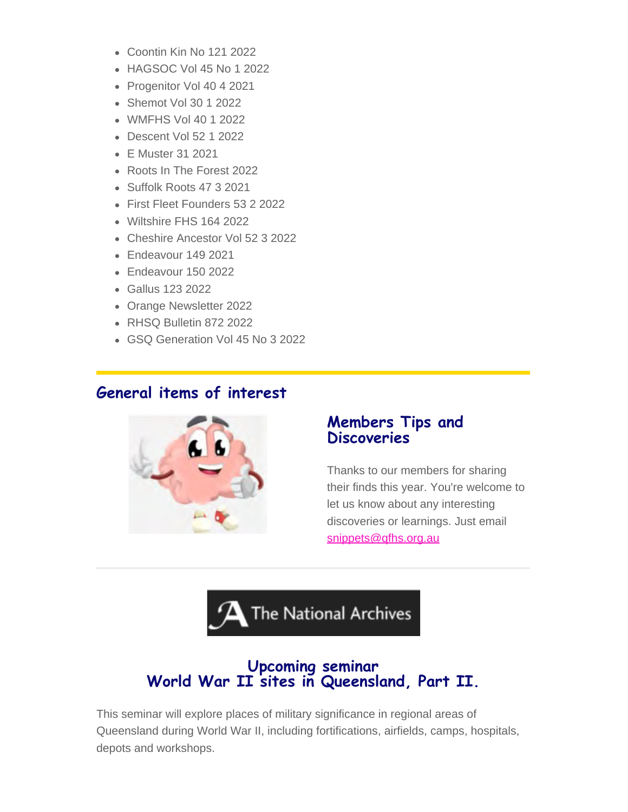- Coontin Kin No 121 2022
- HAGSOC Vol 45 No 1 2022
- Progenitor Vol 40 4 2021
- Shemot Vol 30 1 2022
- WMFHS Vol 40 1 2022
- Descent Vol 52 1 2022
- E Muster 31 2021
- Roots In The Forest 2022
- Suffolk Roots 47 3 2021
- First Fleet Founders 53 2 2022
- Wiltshire FHS 164 2022
- Cheshire Ancestor Vol 52 3 2022
- Endeavour 149 2021
- Endeavour 150 2022
- Gallus 123 2022
- Orange Newsletter 2022
- RHSQ Bulletin 872 2022
- GSQ Generation Vol 45 No 3 2022

## **General items of interest**



## **Members Tips and Discoveries**

Thanks to our members for sharing their finds this year. You're welcome to let us know about any interesting discoveries or learnings. Just email [snippets@qfhs.org.au](mailto:snippets@qfhs.org.au)



# **Upcoming seminar World War II sites in Queensland, Part II.**

This seminar will explore places of military significance in regional areas of Queensland during World War II, including fortifications, airfields, camps, hospitals, depots and workshops.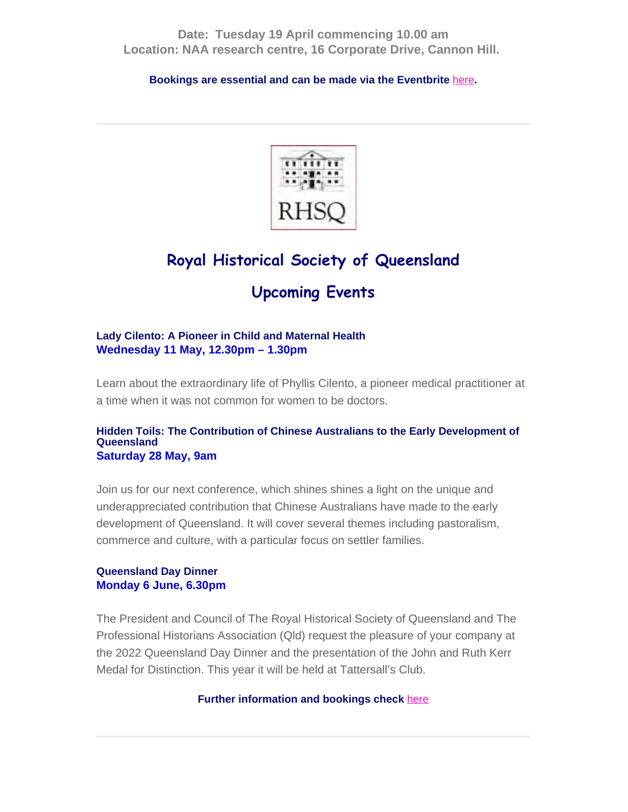**Date: Tuesday 19 April commencing 10.00 am Location: NAA research centre, 16 Corporate Drive, Cannon Hill.**

**Bookings are essential and can be made via the Eventbrite** [here](https://www.eventbrite.com.au/e/world-war-ii-sites-in-queensland-tickets-273989368577)**.**



# **Royal Historical Society of Queensland**

# **Upcoming Events**

#### **Lady Cilento: A Pioneer in Child and Maternal Health Wednesday 11 May, 12.30pm – 1.30pm**

Learn about the extraordinary life of Phyllis Cilento, a pioneer medical practitioner at a time when it was not common for women to be doctors.

#### **Hidden Toils: The Contribution of Chinese Australians to the Early Development of Queensland Saturday 28 May, 9am**

Join us for our next conference, which shines shines a light on the unique and underappreciated contribution that Chinese Australians have made to the early development of Queensland. It will cover several themes including pastoralism, commerce and culture, with a particular focus on settler families.

#### **Queensland Day Dinner Monday 6 June, 6.30pm**

The President and Council of The Royal Historical Society of Queensland and The Professional Historians Association (Qld) request the pleasure of your company at the 2022 Queensland Day Dinner and the presentation of the John and Ruth Kerr Medal for Distinction. This year it will be held at Tattersall's Club.

#### **Further information and bookings check** [here](https://queenslandhistory.org/events/list/)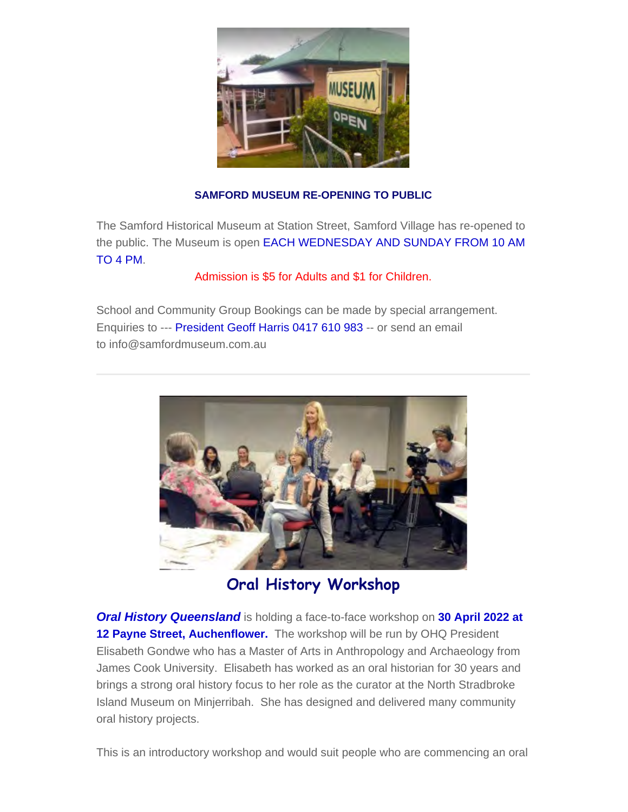

#### **SAMFORD MUSEUM RE-OPENING TO PUBLIC**

The Samford Historical Museum at Station Street, Samford Village has re-opened to the public. The Museum is open EACH WEDNESDAY AND SUNDAY FROM 10 AM TO 4 PM.

Admission is \$5 for Adults and \$1 for Children.

School and Community Group Bookings can be made by special arrangement. Enquiries to --- President Geoff Harris 0417 610 983 -- or send an email to info@samfordmuseum.com.au



**Oral History Workshop**

*Oral History Queensland* is holding a face-to-face workshop on **30 April 2022 at** 12 Payne Street, Auchenflower. The workshop will be run by OHQ President Elisabeth Gondwe who has a Master of Arts in Anthropology and Archaeology from James Cook University. Elisabeth has worked as an oral historian for 30 years and brings a strong oral history focus to her role as the curator at the North Stradbroke Island Museum on Minjerribah. She has designed and delivered many community oral history projects.

This is an introductory workshop and would suit people who are commencing an oral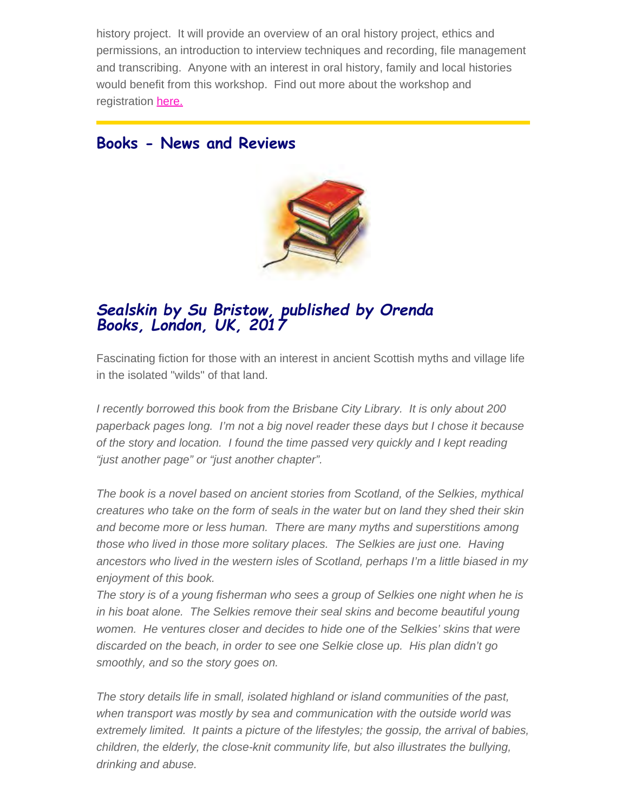history project. It will provide an overview of an oral history project, ethics and permissions, an introduction to interview techniques and recording, file management and transcribing. Anyone with an interest in oral history, family and local histories would benefit from this workshop. Find out more about the workshop and registration [here.](http://www.ohq.org.au/wp-content/uploads/2022/03/Oral-History-Basics-April-2022.pdf)

## **Books - News and Reviews**



# *Sealskin by Su Bristow, published by Orenda Books, London, UK, <sup>2017</sup>*

Fascinating fiction for those with an interest in ancient Scottish myths and village life in the isolated "wilds" of that land.

*I recently borrowed this book from the Brisbane City Library. It is only about 200 paperback pages long. I'm not a big novel reader these days but I chose it because of the story and location. I found the time passed very quickly and I kept reading "just another page" or "just another chapter".*

*The book is a novel based on ancient stories from Scotland, of the Selkies, mythical creatures who take on the form of seals in the water but on land they shed their skin and become more or less human. There are many myths and superstitions among those who lived in those more solitary places. The Selkies are just one. Having ancestors who lived in the western isles of Scotland, perhaps I'm a little biased in my enjoyment of this book.*

*The story is of a young fisherman who sees a group of Selkies one night when he is in his boat alone. The Selkies remove their seal skins and become beautiful young women. He ventures closer and decides to hide one of the Selkies' skins that were discarded on the beach, in order to see one Selkie close up. His plan didn't go smoothly, and so the story goes on.*

*The story details life in small, isolated highland or island communities of the past, when transport was mostly by sea and communication with the outside world was extremely limited. It paints a picture of the lifestyles; the gossip, the arrival of babies, children, the elderly, the close-knit community life, but also illustrates the bullying, drinking and abuse.*